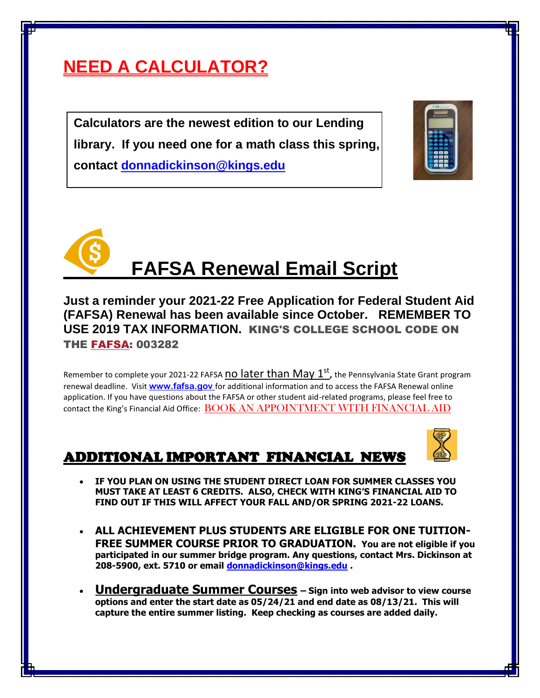## **NEED A CALCULATOR?**

**Calculators are the newest edition to our Lending library. If you need one for a math class this spring, contact [donnadickinson@kings.edu](mailto:donnadickinson@kings.edu)**





# **FAFSA Renewal Email Script**

**Just a reminder your 2021-22 Free Application for Federal Student Aid (FAFSA) Renewal has been available since October. REMEMBER TO USE 2019 TAX INFORMATION.** KING'S COLLEGE SCHOOL CODE ON THE [FAFSA:](https://studentaid.ed.gov/sa/fafsa) 003282

Remember to complete your 2021-22 FAFSA <mark>NO later than May 1<sup>st</sup>,</mark> the Pennsylvania State Grant program renewal deadline. Visit **[www.fafsa.gov](http://www.fafsa.gov/)** for additional information and to access the FAFSA Renewal online application. If you have questions about the FAFSA or other student aid-related programs, please feel free to contact the King's Financial Aid Office: [BOOK AN APPOINTMENT WITH FINANCIAL AID](https://nam04.safelinks.protection.outlook.com/?url=https%3A%2F%2Foutlook.office365.com%2Fowa%2Fcalendar%2FFinancialAidOffice%40kings.edu%2Fbookings%2F&data=04%7C01%7CDonnaDickinson%40kings.edu%7Cf7e0f1850e734238bc6a08d8bcb0c56d%7C93faac0947da4186be23130043bb3418%7C0%7C0%7C637466814828306617%7CUnknown%7CTWFpbGZsb3d8eyJWIjoiMC4wLjAwMDAiLCJQIjoiV2luMzIiLCJBTiI6Ik1haWwiLCJXVCI6Mn0%3D%7C1000&sdata=i6q%2FHwrqz64rpM8wcMB3V%2F0Fs5Y2xDpAVW2vZWXCwRY%3D&reserved=0)

#### ADDITIONAL IMPORTANT FINANCIAL NEWS



- **IF YOU PLAN ON USING THE STUDENT DIRECT LOAN FOR SUMMER CLASSES YOU MUST TAKE AT LEAST 6 CREDITS. ALSO, CHECK WITH KING'S FINANCIAL AID TO FIND OUT IF THIS WILL AFFECT YOUR FALL AND/OR SPRING 2021-22 LOANS.**
- **ALL ACHIEVEMENT PLUS STUDENTS ARE ELIGIBLE FOR ONE TUITION-FREE SUMMER COURSE PRIOR TO GRADUATION. You are not eligible if you participated in our summer bridge program. Any questions, contact Mrs. Dickinson at 208-5900, ext. 5710 or email [donnadickinson@kings.edu](mailto:donnadickinson@kings.edu) .**
- **Undergraduate Summer Courses – Sign into web advisor to view course options and enter the start date as 05/24/21 and end date as 08/13/21. This will capture the entire summer listing. Keep checking as courses are added daily.**